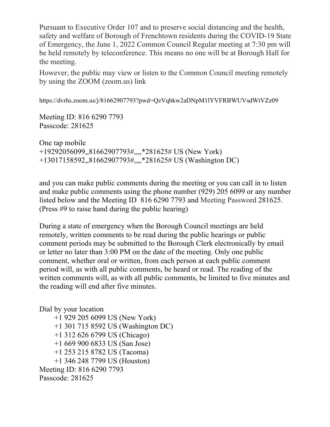Pursuant to Executive Order 107 and to preserve social distancing and the health, safety and welfare of Borough of Frenchtown residents during the COVID-19 State of Emergency, the June 1, 2022 Common Council Regular meeting at 7:30 pm will be held remotely by teleconference. This means no one will be at Borough Hall for the meeting.

However, the public may view or listen to the Common Council meeting remotely by using the ZOOM (zoom.us) link

https://dvrhs.zoom.us/j/81662907793?pwd=QzVqbkw2aDNpM1lYVFRBWUVsdWtVZz09

Meeting ID: 816 6290 7793 Passcode: 281625

One tap mobile +19292056099,,81662907793#,,,,\*281625# US (New York) +13017158592,,81662907793#,,,,\*281625# US (Washington DC)

and you can make public comments during the meeting or you can call in to listen and make public comments using the phone number (929) 205 6099 or any number listed below and the Meeting ID 816 6290 7793 and Meeting Password 281625. (Press #9 to raise hand during the public hearing)

During a state of emergency when the Borough Council meetings are held remotely, written comments to be read during the public hearings or public comment periods may be submitted to the Borough Clerk electronically by email or letter no later than 3:00 PM on the date of the meeting. Only one public comment, whether oral or written, from each person at each public comment period will, as with all public comments, be heard or read. The reading of the written comments will, as with all public comments, be limited to five minutes and the reading will end after five minutes.

Dial by your location +1 929 205 6099 US (New York) +1 301 715 8592 US (Washington DC) +1 312 626 6799 US (Chicago) +1 669 900 6833 US (San Jose) +1 253 215 8782 US (Tacoma) +1 346 248 7799 US (Houston) Meeting ID: 816 6290 7793 Passcode: 281625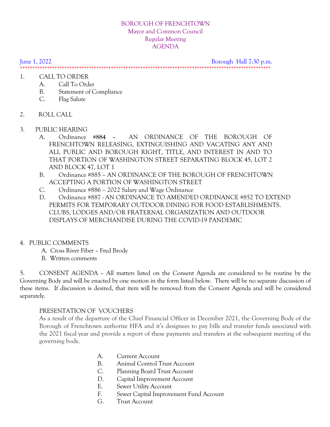#### BOROUGH OF FRENCHTOWN Mayor and Common Council Regular Meeting AGENDA

June 1, 2022 Borough Hall 7:30 p.m.

\*\*\*\*\*\*\*\*\*\*\*\*\*\*\*\*\*\*\*\*\*\*\*\*\*\*\*\*\*\*\*\*\*\*\*\*\*\*\*\*\*\*\*\*\*\*\*\*\*\*\*\*\*\*\*\*\*\*\*\*\*\*\*\*\*\*\*\*\*\*\*\*\*\*\*\*\*\*\*\*\*\*\*\*\*\*\*\*\*\*\*\*\*\*\*\*\*\*\*\*\*\*

- 1. CALL TO ORDER
	- A. Call To Order
	- B. Statement of Compliance
	- C. Flag Salute
- 2. ROLL CALL
- 3. PUBLIC HEARING
	- A. Ordinance **#884 –** AN ORDINANCE OF THE BOROUGH OF FRENCHTOWN RELEASING, EXTINGUISHING AND VACATING ANY AND ALL PUBLIC AND BOROUGH RIGHT, TITLE, AND INTEREST IN AND TO THAT PORTION OF WASHINGTON STREET SEPARATING BLOCK 45, LOT 2 AND BLOCK 47, LOT 1
	- B. Ordinance #885 AN ORDINANCE OF THE BOROUGH OF FRENCHTOWN ACCEPTING A PORTION OF WASHINGTON STREET
	- C. Ordinance #886 2022 Salary and Wage Ordinance
	- D. Ordinance #887 AN ORDINANCE TO AMENDED ORDINANCE #852 TO EXTEND PERMITS FOR TEMPORARY OUTDOOR DINING FOR FOOD ESTABLISHMENTS. CLUBS, LODGES AND/OR FRATERNAL ORGANIZATION AND OUTDOOR DISPLAYS OF MERCHANDISE DURING THE COVID-19 PANDEMIC

### 4. PUBLIC COMMENTS

- A. Cross River Fiber Fred Brody
- B. Written comments

5. CONSENT AGENDA – All matters listed on the Consent Agenda are considered to be routine by the Governing Body and will be enacted by one motion in the form listed below. There will be no separate discussion of these items. If discussion is desired, that item will be removed from the Consent Agenda and will be considered separately.

### PRESENTATION OF VOUCHERS

 As a result of the departure of the Chief Financial Officer in December 2021, the Governing Body of the Borough of Frenchtown authorize HFA and it's designees to pay bills and transfer funds associated with the 2021 fiscal year and provide a report of these payments and transfers at the subsequent meeting of the governing body.

- A. Current Account
- B. Animal Control Trust Account
- C. Planning Board Trust Account
- D. Capital Improvement Account
- E. Sewer Utility Account
- F. Sewer Capital Improvement Fund Account
- G. Trust Account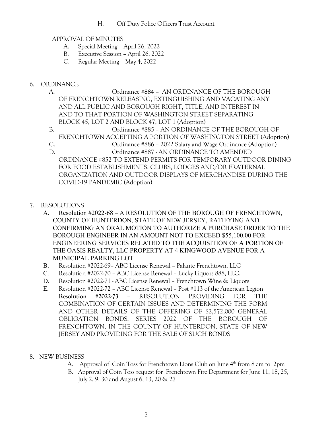H. Off Duty Police Officers Trust Account

## APPROVAL OF MINUTES

- A. Special Meeting April 26, 2022
- B. Executive Session April 26, 2022
- C. Regular Meeting May 4, 2022

## 6. ORDINANCE

A. Ordinance **#884 –** AN ORDINANCE OF THE BOROUGH OF FRENCHTOWN RELEASING, EXTINGUISHING AND VACATING ANY AND ALL PUBLIC AND BOROUGH RIGHT, TITLE, AND INTEREST IN AND TO THAT PORTION OF WASHINGTON STREET SEPARATING BLOCK 45, LOT 2 AND BLOCK 47, LOT 1 (Adoption) B. Ordinance #885 – AN ORDINANCE OF THE BOROUGH OF FRENCHTOWN ACCEPTING A PORTION OF WASHINGTON STREET (Adoption) C. Ordinance #886 – 2022 Salary and Wage Ordinance (Adoption) D. Ordinance #887 - AN ORDINANCE TO AMENDED ORDINANCE #852 TO EXTEND PERMITS FOR TEMPORARY OUTDOOR DINING FOR FOOD ESTABLISHMENTS. CLUBS, LODGES AND/OR FRATERNAL ORGANIZATION AND OUTDOOR DISPLAYS OF MERCHANDISE DURING THE COVID-19 PANDEMIC (Adoption)

- 7. RESOLUTIONS
	- A. Resolution #2022-68 A RESOLUTION OF THE BOROUGH OF FRENCHTOWN, COUNTY OF HUNTERDON, STATE OF NEW JERSEY, RATIFYING AND CONFIRMING AN ORAL MOTION TO AUTHORIZE A PURCHASE ORDER TO THE BOROUGH ENGINEER IN AN AMOUNT NOT TO EXCEED \$55,100.00 FOR ENGINEERING SERVICES RELATED TO THE ACQUISITION OF A PORTION OF THE OASIS REALTY, LLC PROPERTY AT 4 KINGWOOD AVENUE FOR A MUNICIPAL PARKING LOT
	- B. Resolution #2022-69– ABC License Renewal Palante Frenchtown, LLC
	- C. Resolution #2022-70 ABC License Renewal Lucky Liquors 888, LLC.
	- D. Resolution #2022-71 ABC License Renewal Frenchtown Wine & Liquors
	- E. Resolution #2022-72 ABC License Renewal Post #113 of the American Legion **Resolution #2022-73 –** RESOLUTION PROVIDING FOR THE COMBINATION OF CERTAIN ISSUES AND DETERMINING THE FORM AND OTHER DETAILS OF THE OFFERING OF \$2,572,000 GENERAL OBLIGATION BONDS, SERIES 2022 OF THE BOROUGH OF FRENCHTOWN, IN THE COUNTY OF HUNTERDON, STATE OF NEW JERSEY AND PROVIDING FOR THE SALE OF SUCH BONDS
- 8. NEW BUSINESS
	- A. Approval of Coin Toss for Frenchtown Lions Club on June  $4<sup>th</sup>$  from 8 am to 2pm
	- B. Approval of Coin Toss request for Frenchtown Fire Department for June 11, 18, 25, July 2, 9, 30 and August 6, 13, 20 & 27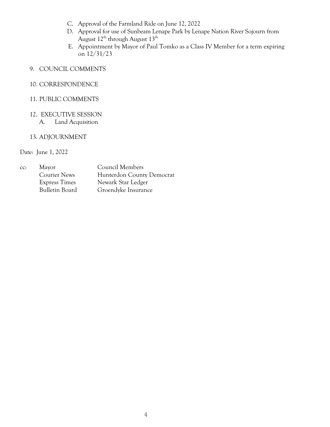- C. Approval of the Farmland Ride on June 12, 2022
- D. Approval for use of Sunbeam Lenape Park by Lenape Nation River Sojourn from August  $12^{th}$  through August  $13^{th}$
- E. Appointment by Mayor of Paul Tomko as a Class IV Member for a term expiring on 12/31/23
- 9. COUNCIL COMMENTS

# 10. CORRESPONDENCE

### 11. PUBLIC COMMENTS

#### 12. EXECUTIVE SESSION A. Land Acquisition

#### 13. ADJOURNMENT

Date: June 1, 2022

| CC: | Mayor                 | Council Members           |
|-----|-----------------------|---------------------------|
|     | <b>Courier News</b>   | Hunterdon County Democrat |
|     | <b>Express Times</b>  | Newark Star Ledger        |
|     | <b>Bulletin Board</b> | Groendyke Insurance       |